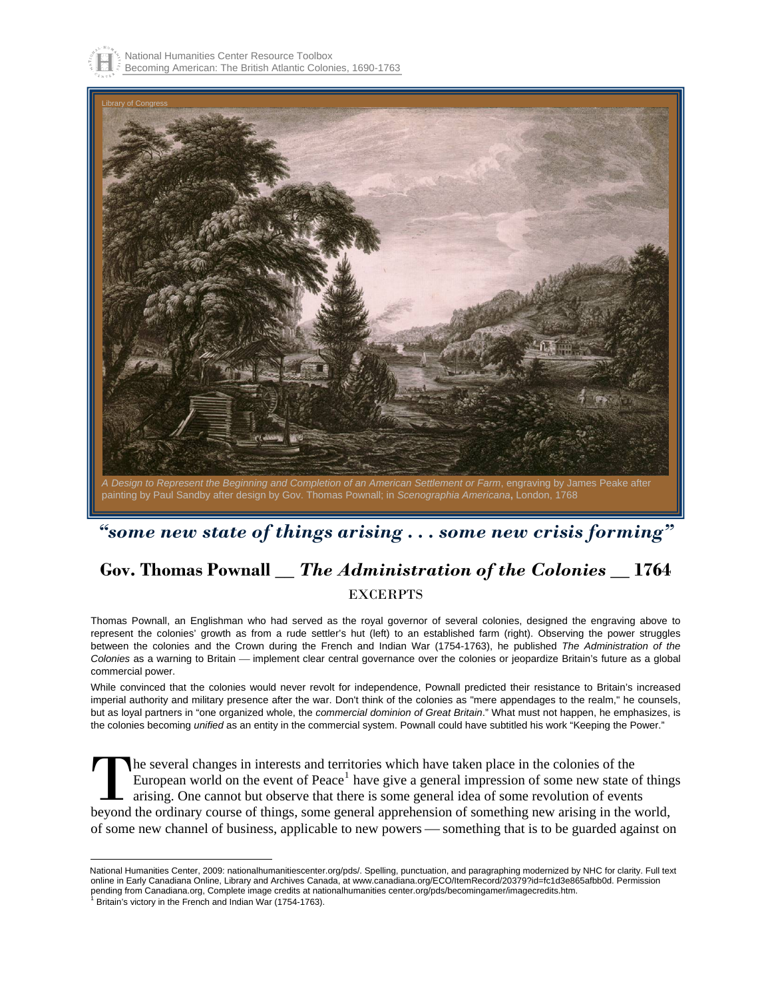

## *"some new state of things arising . . . some new crisis forming"*

## **Gov. Thomas Pownall \_\_** *The Administration of the Colonies* **\_\_ 1764**  EXCERPTS

Thomas Pownall, an Englishman who had served as the royal governor of several colonies, designed the engraving above to represent the colonies' growth as from a rude settler's hut (left) to an established farm (right). Observing the power struggles between the colonies and the Crown during the French and Indian War (1754-1763), he published *The Administration of the Colonies* as a warning to Britain — implement clear central governance over the colonies or jeopardize Britain's future as a global commercial power.

While convinced that the colonies would never revolt for independence, Pownall predicted their resistance to Britain's increased imperial authority and military presence after the war. Don't think of the colonies as "mere appendages to the realm," he counsels, but as loyal partners in "one organized whole, the *commercial dominion of Great Britain*." What must not happen, he emphasizes, is the colonies becoming *unified* as an entity in the commercial system. Pownall could have subtitled his work "Keeping the Power."

he several changes in interests and territories which have taken place in the colonies of the European world on the event of Peace<sup>[1](#page-0-1)</sup> have give a general impression of some new state of things arising. One cannot but observe that there is some general idea of some revolution of events The several changes in interests and territories which have taken place in the colonies of the<br>European world on the event of Peace<sup>1</sup> have give a general impression of some new state of thing<br>arising. One cannot but obser of some new channel of business, applicable to new powers — something that is to be guarded against on

 $\overline{\phantom{a}}$ 

<span id="page-0-0"></span>National Humanities Center, 2009: nationalhumanitiescenter.org/pds/. Spelling, punctuation, and paragraphing modernized by NHC for clarity. Full text online in Early Canadiana Online, Library and Archives Canada, at www.canadiana.org/ECO/ItemRecord/20379?id=fc1d3e865afbb0d. Permission pending from Canadiana.org, Complete image credits at nationalhumanities center.org/pds/becomingamer/imagecredits.htm.

<span id="page-0-1"></span>Britain's victory in the French and Indian War (1754-1763).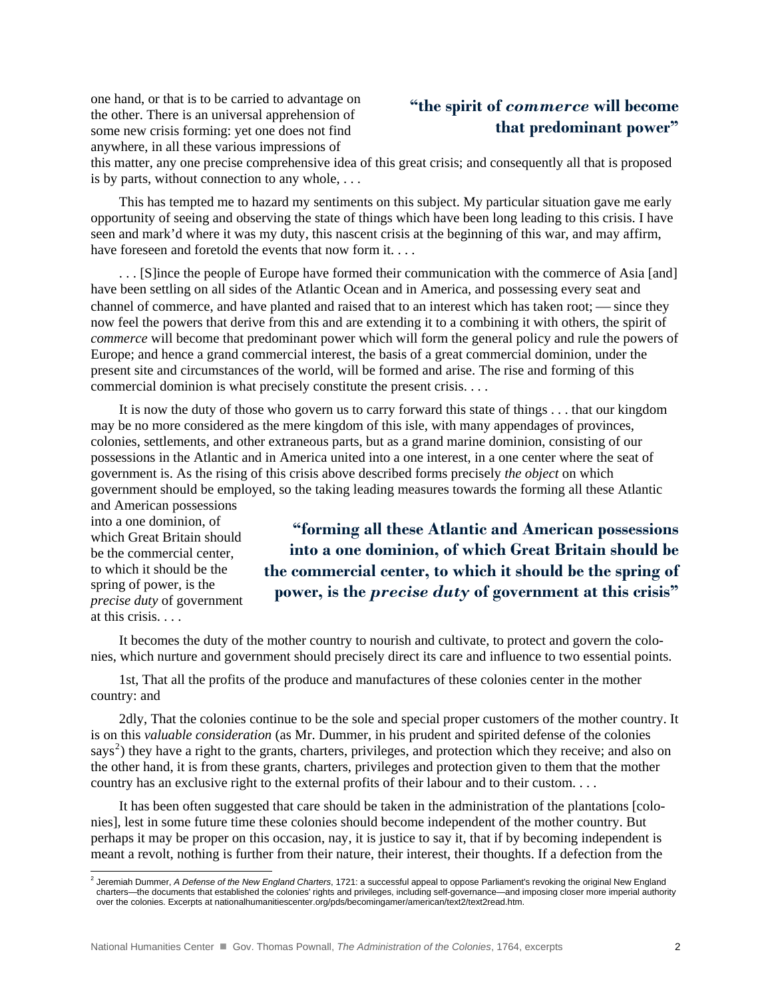one hand, or that is to be carried to advantage on the other. There is an universal apprehension of some new crisis forming: yet one does not find anywhere, in all these various impressions of

## **"the spirit of** *commerce* **will become that predominant power"**

this matter, any one precise comprehensive idea of this great crisis; and consequently all that is proposed is by parts, without connection to any whole, . . .

 This has tempted me to hazard my sentiments on this subject. My particular situation gave me early opportunity of seeing and observing the state of things which have been long leading to this crisis. I have seen and mark'd where it was my duty, this nascent crisis at the beginning of this war, and may affirm, have foreseen and foretold the events that now form it...

 . . . [S]ince the people of Europe have formed their communication with the commerce of Asia [and] have been settling on all sides of the Atlantic Ocean and in America, and possessing every seat and channel of commerce, and have planted and raised that to an interest which has taken root;  $\frac{ }{ }$  since they now feel the powers that derive from this and are extending it to a combining it with others, the spirit of *commerce* will become that predominant power which will form the general policy and rule the powers of Europe; and hence a grand commercial interest, the basis of a great commercial dominion, under the present site and circumstances of the world, will be formed and arise. The rise and forming of this commercial dominion is what precisely constitute the present crisis. . . .

 It is now the duty of those who govern us to carry forward this state of things . . . that our kingdom may be no more considered as the mere kingdom of this isle, with many appendages of provinces, colonies, settlements, and other extraneous parts, but as a grand marine dominion, consisting of our possessions in the Atlantic and in America united into a one interest, in a one center where the seat of government is. As the rising of this crisis above described forms precisely *the object* on which government should be employed, so the taking leading measures towards the forming all these Atlantic and American possessions

into a one dominion, of which Great Britain should be the commercial center, to which it should be the spring of power, is the *precise duty* of government at this crisis. . . .

 **"forming all these Atlantic and American possessions into a one dominion, of which Great Britain should be the commercial center, to which it should be the spring of power, is the** *precise duty* **of government at this crisis"**

 It becomes the duty of the mother country to nourish and cultivate, to protect and govern the colonies, which nurture and government should precisely direct its care and influence to two essential points.

 1st, That all the profits of the produce and manufactures of these colonies center in the mother country: and

 2dly, That the colonies continue to be the sole and special proper customers of the mother country. It is on this *valuable consideration* (as Mr. Dummer, in his prudent and spirited defense of the colonies says<sup>[2](#page-1-0)</sup>) they have a right to the grants, charters, privileges, and protection which they receive; and also on the other hand, it is from these grants, charters, privileges and protection given to them that the mother country has an exclusive right to the external profits of their labour and to their custom. . . .

 It has been often suggested that care should be taken in the administration of the plantations [colonies], lest in some future time these colonies should become independent of the mother country. But perhaps it may be proper on this occasion, nay, it is justice to say it, that if by becoming independent is meant a revolt, nothing is further from their nature, their interest, their thoughts. If a defection from the

<span id="page-1-0"></span> 2 Jeremiah Dummer, *A Defense of the New England Charters*, 1721: a successful appeal to oppose Parliament's revoking the original New England charters—the documents that established the colonies' rights and privileges, including self-governance—and imposing closer more imperial authority over the colonies. Excerpts at nationalhumanitiescenter.org/pds/becomingamer/american/text2/text2read.htm.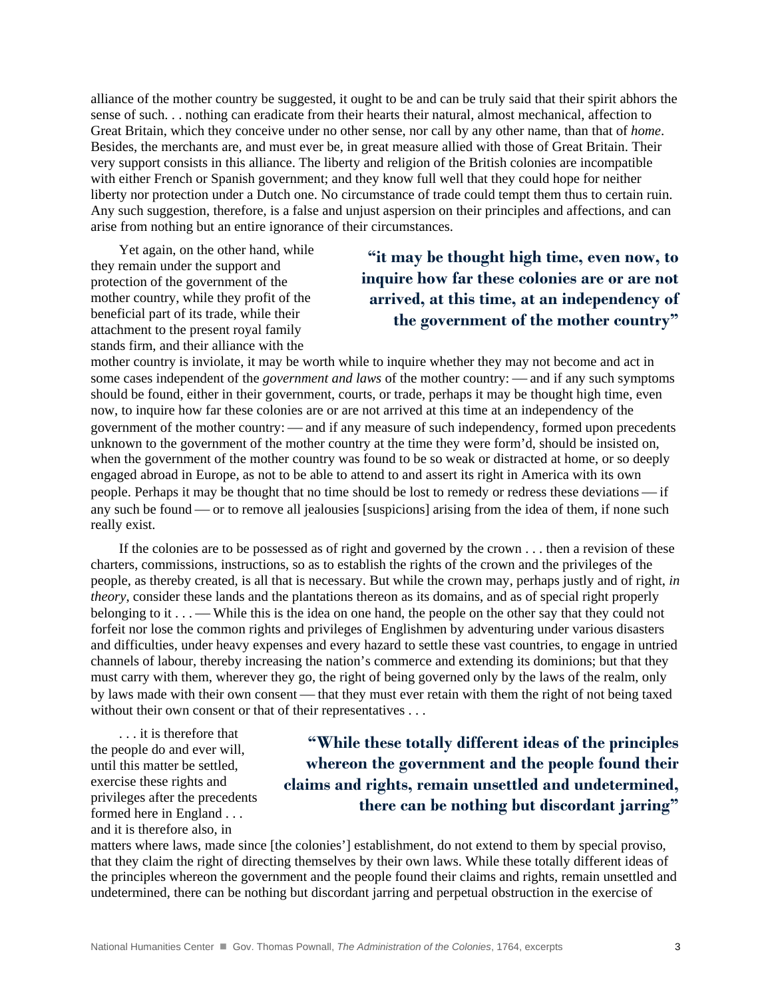alliance of the mother country be suggested, it ought to be and can be truly said that their spirit abhors the sense of such. . . nothing can eradicate from their hearts their natural, almost mechanical, affection to Great Britain, which they conceive under no other sense, nor call by any other name, than that of *home*. Besides, the merchants are, and must ever be, in great measure allied with those of Great Britain. Their very support consists in this alliance. The liberty and religion of the British colonies are incompatible with either French or Spanish government; and they know full well that they could hope for neither liberty nor protection under a Dutch one. No circumstance of trade could tempt them thus to certain ruin. Any such suggestion, therefore, is a false and unjust aspersion on their principles and affections, and can arise from nothing but an entire ignorance of their circumstances.

 Yet again, on the other hand, while they remain under the support and protection of the government of the mother country, while they profit of the beneficial part of its trade, while their attachment to the present royal family stands firm, and their alliance with the

## **"it may be thought high time, even now, to inquire how far these colonies are or are not arrived, at this time, at an independency of the government of the mother country"**

mother country is inviolate, it may be worth while to inquire whether they may not become and act in some cases independent of the *government and laws* of the mother country: — and if any such symptoms should be found, either in their government, courts, or trade, perhaps it may be thought high time, even now, to inquire how far these colonies are or are not arrived at this time at an independency of the government of the mother country: — and if any measure of such independency, formed upon precedents unknown to the government of the mother country at the time they were form'd, should be insisted on, when the government of the mother country was found to be so weak or distracted at home, or so deeply engaged abroad in Europe, as not to be able to attend to and assert its right in America with its own people. Perhaps it may be thought that no time should be lost to remedy or redress these deviations — if any such be found — or to remove all jealousies [suspicions] arising from the idea of them, if none such really exist.

 If the colonies are to be possessed as of right and governed by the crown . . . then a revision of these charters, commissions, instructions, so as to establish the rights of the crown and the privileges of the people, as thereby created, is all that is necessary. But while the crown may, perhaps justly and of right, *in theory*, consider these lands and the plantations thereon as its domains, and as of special right properly belonging to it  $\ldots$  — While this is the idea on one hand, the people on the other say that they could not forfeit nor lose the common rights and privileges of Englishmen by adventuring under various disasters and difficulties, under heavy expenses and every hazard to settle these vast countries, to engage in untried channels of labour, thereby increasing the nation's commerce and extending its dominions; but that they must carry with them, wherever they go, the right of being governed only by the laws of the realm, only by laws made with their own consent — that they must ever retain with them the right of not being taxed without their own consent or that of their representatives . . .

 . . . it is therefore that the people do and ever will, until this matter be settled, exercise these rights and privileges after the precedents formed here in England . . . and it is therefore also, in

**"While these totally different ideas of the principles whereon the government and the people found their claims and rights, remain unsettled and undetermined, there can be nothing but discordant jarring"**

matters where laws, made since [the colonies'] establishment, do not extend to them by special proviso, that they claim the right of directing themselves by their own laws. While these totally different ideas of the principles whereon the government and the people found their claims and rights, remain unsettled and undetermined, there can be nothing but discordant jarring and perpetual obstruction in the exercise of